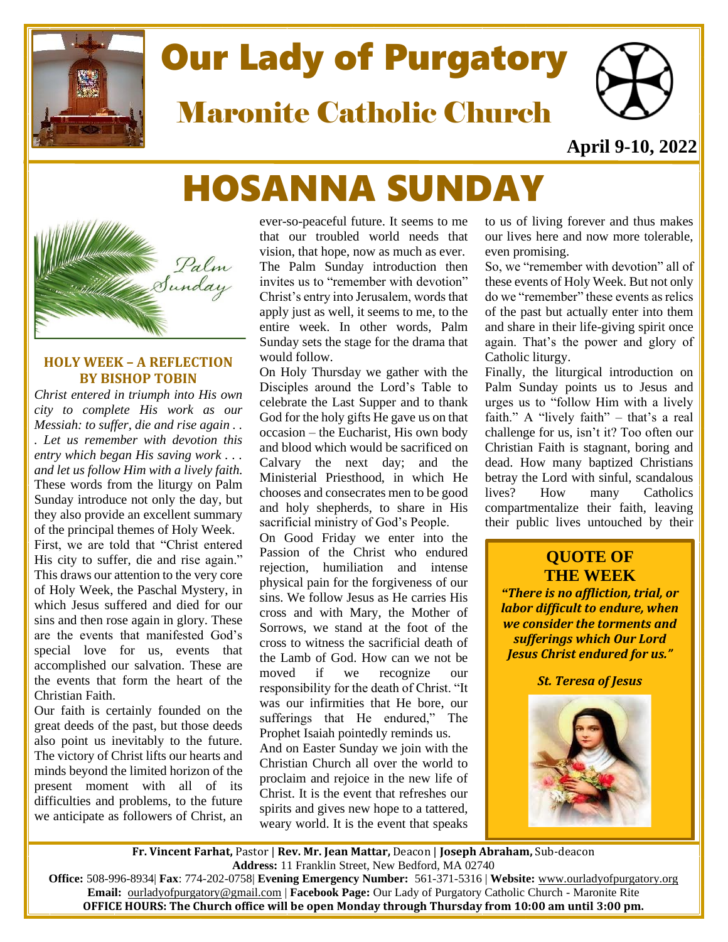

# Our Lady of Purgatory

Maronite Catholic Church



**April 9-10, 2022**

## HOSANNA SUNDAY



#### **HOLY WEEK – [A REFLECTION](https://catholicismpure.wordpress.com/2011/04/18/holy-week-a-reflection-by-bishop-tobin/)  [BY BISHOP TOBIN](https://catholicismpure.wordpress.com/2011/04/18/holy-week-a-reflection-by-bishop-tobin/)**

*Christ entered in triumph into His own city to complete His work as our Messiah: to suffer, die and rise again . . . Let us remember with devotion this entry which began His saving work . . . and let us follow Him with a lively faith.* These words from the liturgy on Palm Sunday introduce not only the day, but they also provide an excellent summary of the principal themes of Holy Week. First, we are told that "Christ entered His city to suffer, die and rise again." This draws our attention to the very core of Holy Week, the Paschal Mystery, in which Jesus suffered and died for our sins and then rose again in glory. These are the events that manifested God's special love for us, events that accomplished our salvation. These are the events that form the heart of the Christian Faith.

Our faith is certainly founded on the great deeds of the past, but those deeds also point us inevitably to the future. The victory of Christ lifts our hearts and minds beyond the limited horizon of the present moment with all of its difficulties and problems, to the future we anticipate as followers of Christ, an

ever-so-peaceful future. It seems to me that our troubled world needs that vision, that hope, now as much as ever. The Palm Sunday introduction then invites us to "remember with devotion" Christ's entry into Jerusalem, words that apply just as well, it seems to me, to the entire week. In other words, Palm Sunday sets the stage for the drama that would follow.

On Holy Thursday we gather with the Disciples around the Lord's Table to celebrate the Last Supper and to thank God for the holy gifts He gave us on that occasion – the Eucharist, His own body and blood which would be sacrificed on Calvary the next day; and the Ministerial Priesthood, in which He chooses and consecrates men to be good and holy shepherds, to share in His sacrificial ministry of God's People.

On Good Friday we enter into the Passion of the Christ who endured rejection, humiliation and intense physical pain for the forgiveness of our sins. We follow Jesus as He carries His cross and with Mary, the Mother of Sorrows, we stand at the foot of the cross to witness the sacrificial death of the Lamb of God. How can we not be moved if we recognize our responsibility for the death of Christ. "It was our infirmities that He bore, our sufferings that He endured," The Prophet Isaiah pointedly reminds us.

And on Easter Sunday we join with the Christian Church all over the world to proclaim and rejoice in the new life of Christ. It is the event that refreshes our spirits and gives new hope to a tattered, weary world. It is the event that speaks to us of living forever and thus makes our lives here and now more tolerable, even promising.

So, we "remember with devotion" all of these events of Holy Week. But not only do we "remember" these events as relics of the past but actually enter into them and share in their life-giving spirit once again. That's the power and glory of Catholic liturgy.

Finally, the liturgical introduction on Palm Sunday points us to Jesus and urges us to "follow Him with a lively faith." A "lively faith" – that's a real challenge for us, isn't it? Too often our Christian Faith is stagnant, boring and dead. How many baptized Christians betray the Lord with sinful, scandalous lives? How many Catholics compartmentalize their faith, leaving their public lives untouched by their

### **QUOTE OF THE WEEK**

*"There is no affliction, trial, or labor difficult to endure, when we consider the torments and sufferings which Our Lord Jesus Christ endured for us."*

*St. Teresa of Jesus*



l

**Fr. Vincent Farhat,** Pastor | **Rev. Mr. Jean Mattar,** Deacon | **Joseph Abraham,** Sub-deacon **Address:** 11 Franklin Street, New Bedford, MA 02740

**Office:** 508-996-8934| **Fax**: 774-202-0758| **Evening Emergency Number:** 561-371-5316 | **Website:** [www.ourladyofpurgatory.org](http://www.ourladyofpurgatory.org/) **Email:** [ourladyofpurgatory@gmail.com](mailto:ourladyofpurgatory@verizon.net) | **Facebook Page:** Our Lady of Purgatory Catholic Church - Maronite Rite **OFFICE HOURS: The Church office will be open Monday through Thursday from 10:00 am until 3:00 pm.**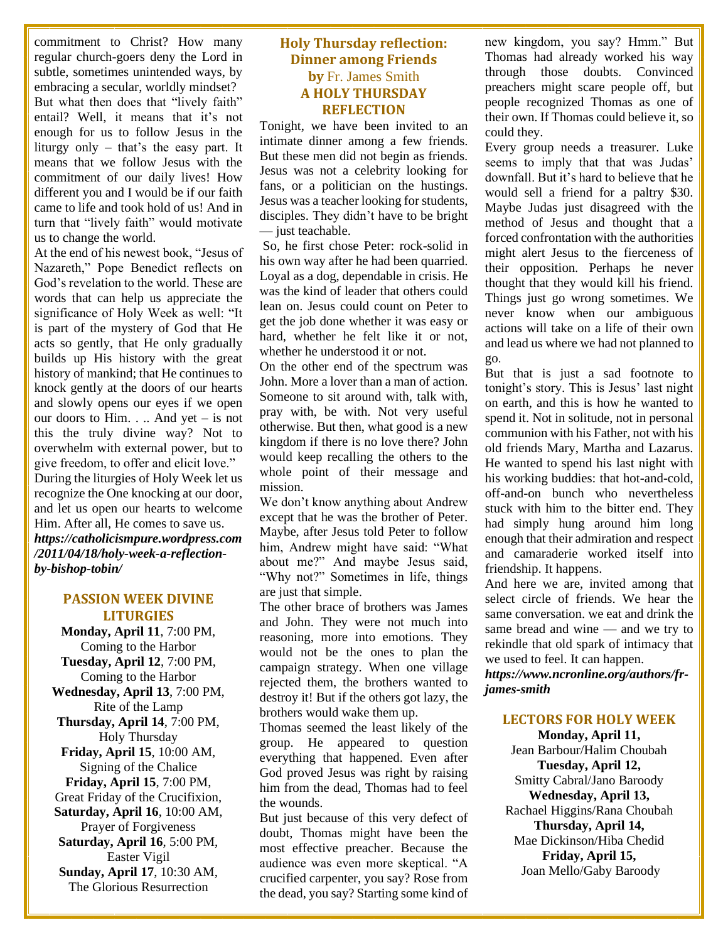commitment to Christ? How many regular church-goers deny the Lord in subtle, sometimes unintended ways, by embracing a secular, worldly mindset? But what then does that "lively faith" entail? Well, it means that it's not enough for us to follow Jesus in the liturgy only – that's the easy part. It means that we follow Jesus with the commitment of our daily lives! How different you and I would be if our faith came to life and took hold of us! And in turn that "lively faith" would motivate us to change the world.

At the end of his newest book, "Jesus of Nazareth," Pope Benedict reflects on God's revelation to the world. These are words that can help us appreciate the significance of Holy Week as well: "It is part of the mystery of God that He acts so gently, that He only gradually builds up His history with the great history of mankind; that He continues to knock gently at the doors of our hearts and slowly opens our eyes if we open our doors to Him. . .. And yet – is not this the truly divine way? Not to overwhelm with external power, but to give freedom, to offer and elicit love." During the liturgies of Holy Week let us recognize the One knocking at our door, and let us open our hearts to welcome Him. After all, He comes to save us. *https://catholicismpure.wordpress.com /2011/04/18/holy-week-a-reflectionby-bishop-tobin/*

#### **PASSION WEEK DIVINE LITURGIES**

**Monday, April 11**, 7:00 PM, Coming to the Harbor **Tuesday, April 12**, 7:00 PM, Coming to the Harbor **Wednesday, April 13**, 7:00 PM, Rite of the Lamp

**Thursday, April 14**, 7:00 PM, Holy Thursday

**Friday, April 15**, 10:00 AM, Signing of the Chalice

**Friday, April 15**, 7:00 PM, Great Friday of the Crucifixion,

**Saturday, April 16**, 10:00 AM, Prayer of Forgiveness

**Saturday, April 16**, 5:00 PM, Easter Vigil

**Sunday, April 17**, 10:30 AM, The Glorious Resurrection

#### **Holy Thursday reflection: Dinner among Friends by** [Fr. James Smith](https://www.ncronline.org/authors/fr-james-smith) **A HOLY THURSDAY REFLECTION**

Tonight, we have been invited to an intimate dinner among a few friends. But these men did not begin as friends. Jesus was not a celebrity looking for fans, or a politician on the hustings. Jesus was a teacher looking for students, disciples. They didn't have to be bright — just teachable.

So, he first chose Peter: rock-solid in his own way after he had been quarried. Loyal as a dog, dependable in crisis. He was the kind of leader that others could lean on. Jesus could count on Peter to get the job done whether it was easy or hard, whether he felt like it or not, whether he understood it or not.

On the other end of the spectrum was John. More a lover than a man of action. Someone to sit around with, talk with, pray with, be with. Not very useful otherwise. But then, what good is a new kingdom if there is no love there? John would keep recalling the others to the whole point of their message and mission.

We don't know anything about Andrew except that he was the brother of Peter. Maybe, after Jesus told Peter to follow him, Andrew might have said: "What about me?" And maybe Jesus said, "Why not?" Sometimes in life, things are just that simple.

The other brace of brothers was James and John. They were not much into reasoning, more into emotions. They would not be the ones to plan the campaign strategy. When one village rejected them, the brothers wanted to destroy it! But if the others got lazy, the brothers would wake them up.

Thomas seemed the least likely of the group. He appeared to question everything that happened. Even after God proved Jesus was right by raising him from the dead, Thomas had to feel the wounds.

But just because of this very defect of doubt, Thomas might have been the most effective preacher. Because the audience was even more skeptical. "A crucified carpenter, you say? Rose from the dead, you say? Starting some kind of new kingdom, you say? Hmm." But Thomas had already worked his way through those doubts. Convinced preachers might scare people off, but people recognized Thomas as one of their own. If Thomas could believe it, so could they.

Every group needs a treasurer. Luke seems to imply that that was Judas' downfall. But it's hard to believe that he would sell a friend for a paltry \$30. Maybe Judas just disagreed with the method of Jesus and thought that a forced confrontation with the authorities might alert Jesus to the fierceness of their opposition. Perhaps he never thought that they would kill his friend. Things just go wrong sometimes. We never know when our ambiguous actions will take on a life of their own and lead us where we had not planned to go.

But that is just a sad footnote to tonight's story. This is Jesus' last night on earth, and this is how he wanted to spend it. Not in solitude, not in personal communion with his Father, not with his old friends Mary, Martha and Lazarus. He wanted to spend his last night with his working buddies: that hot-and-cold, off-and-on bunch who nevertheless stuck with him to the bitter end. They had simply hung around him long enough that their admiration and respect and camaraderie worked itself into friendship. It happens.

And here we are, invited among that select circle of friends. We hear the same conversation. we eat and drink the same bread and wine — and we try to rekindle that old spark of intimacy that we used to feel. It can happen.

*[https://www.ncronline.org/authors/fr](https://www.ncronline.org/authors/fr-james-smith)[james-smith](https://www.ncronline.org/authors/fr-james-smith)*

#### **LECTORS FOR HOLY WEEK**

**Monday, April 11,** Jean Barbour/Halim Choubah **Tuesday, April 12,** Smitty Cabral/Jano Baroody **Wednesday, April 13,** Rachael Higgins/Rana Choubah **Thursday, April 14,** Mae Dickinson/Hiba Chedid **Friday, April 15,** Joan Mello/Gaby Baroody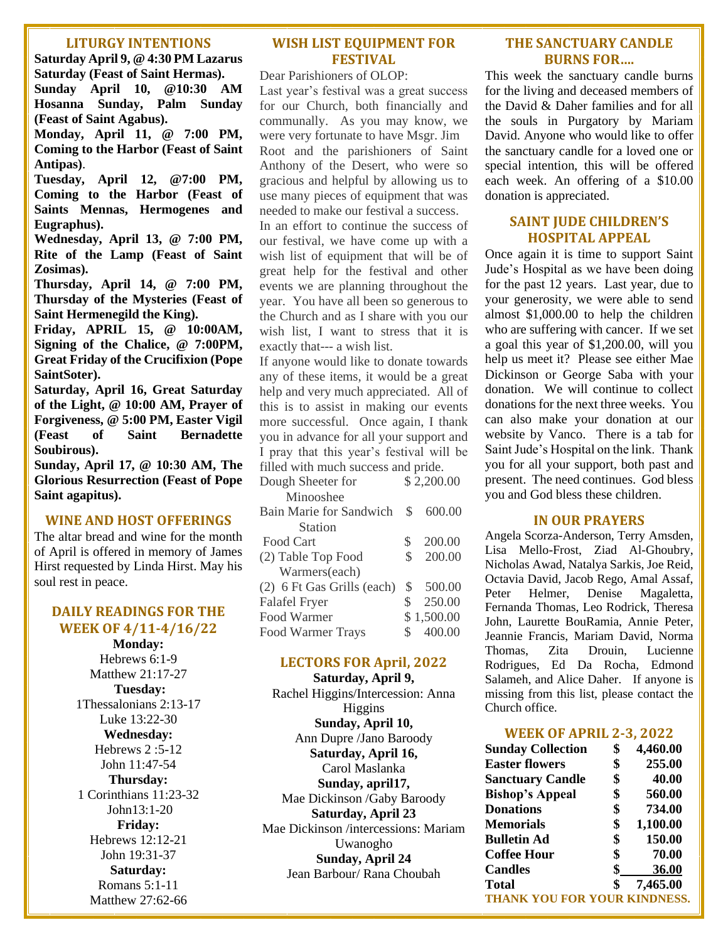#### **LITURGY INTENTIONS**

**Saturday April 9, @ 4:30 PM Lazarus Saturday (Feast of Saint Hermas). Sunday April 10, @10:30 AM Hosanna Sunday, Palm Sunday (Feast of Saint Agabus).** 

**Monday, April 11, @ 7:00 PM, Coming to the Harbor (Feast of Saint Antipas)**.

**Tuesday, April 12, @7:00 PM, Coming to the Harbor (Feast of Saints Mennas, Hermogenes and Eugraphus).**

**Wednesday, April 13, @ 7:00 PM, Rite of the Lamp (Feast of Saint Zosimas).**

**Thursday, April 14, @ 7:00 PM, Thursday of the Mysteries (Feast of Saint Hermenegild the King).**

**Friday, APRIL 15, @ 10:00AM, Signing of the Chalice, @ 7:00PM, Great Friday of the Crucifixion (Pope SaintSoter).**

**Saturday, April 16, Great Saturday of the Light, @ 10:00 AM, Prayer of Forgiveness, @ 5:00 PM, Easter Vigil (Feast of Saint Bernadette Soubirous).** 

**Sunday, April 17, @ 10:30 AM, The Glorious Resurrection (Feast of Pope Saint agapitus).**

#### **WINE AND HOST OFFERINGS**

The altar bread and wine for the month of April is offered in memory of James Hirst requested by Linda Hirst. May his soul rest in peace.

#### **DAILY READINGS FOR THE WEEK OF 4/11-4/16/22**

**Monday:**  Hebrews 6:1-9 Matthew 21:17-27 **Tuesday:**  1Thessalonians 2:13-17 Luke 13:22-30 **Wednesday:**  Hebrews 2 :5-12 John 11:47-54 **Thursday:**  1 Corinthians 11:23-32 John13:1-20 **Friday:**  Hebrews 12:12-21 John 19:31-37 **Saturday:**  Romans 5:1-11 Matthew 27:62-66

#### **WISH LIST EQUIPMENT FOR FESTIVAL**

Dear Parishioners of OLOP:

Last year's festival was a great success for our Church, both financially and communally. As you may know, we were very fortunate to have Msgr. Jim Root and the parishioners of Saint Anthony of the Desert, who were so gracious and helpful by allowing us to use many pieces of equipment that was needed to make our festival a success.

In an effort to continue the success of our festival, we have come up with a wish list of equipment that will be of great help for the festival and other events we are planning throughout the year. You have all been so generous to the Church and as I share with you our wish list, I want to stress that it is exactly that--- a wish list.

If anyone would like to donate towards any of these items, it would be a great help and very much appreciated. All of this is to assist in making our events more successful. Once again, I thank you in advance for all your support and I pray that this year's festival will be filled with much success and pride.

| Dough Sheeter for          |                | \$2,200.00 |
|----------------------------|----------------|------------|
| Minooshee                  |                |            |
| Bain Marie for Sandwich    | \$             | 600.00     |
| <b>Station</b>             |                |            |
| Food Cart                  | \$             | 200.00     |
| (2) Table Top Food         | \$             | 200.00     |
| Warmers(each)              |                |            |
| (2) 6 Ft Gas Grills (each) | $\mathbb{S}^-$ | 500.00     |
| <b>Falafel Fryer</b>       | \$             | 250.00     |
| <b>Food Warmer</b>         |                | \$1,500.00 |
| <b>Food Warmer Trays</b>   | \$             | 400.00     |
|                            |                |            |

#### **LECTORS FOR April, 2022**

**Saturday, April 9,** Rachel Higgins/Intercession: Anna Higgins **Sunday, April 10,** Ann Dupre /Jano Baroody **Saturday, April 16,** Carol Maslanka **Sunday, april17,** Mae Dickinson /Gaby Baroody **Saturday, April 23** Mae Dickinson /intercessions: Mariam Uwanogho **Sunday, April 24** Jean Barbour/ Rana Choubah

#### **THE SANCTUARY CANDLE BURNS FOR….**

This week the sanctuary candle burns for the living and deceased members of the David & Daher families and for all the souls in Purgatory by Mariam David. Anyone who would like to offer the sanctuary candle for a loved one or special intention, this will be offered each week. An offering of a \$10.00 donation is appreciated.

#### **SAINT JUDE CHILDREN'S HOSPITAL APPEAL**

Once again it is time to support Saint Jude's Hospital as we have been doing for the past 12 years. Last year, due to your generosity, we were able to send almost \$1,000.00 to help the children who are suffering with cancer. If we set a goal this year of \$1,200.00, will you help us meet it? Please see either Mae Dickinson or George Saba with your donation. We will continue to collect donations for the next three weeks. You can also make your donation at our website by Vanco. There is a tab for Saint Jude's Hospital on the link. Thank you for all your support, both past and present. The need continues. God bless you and God bless these children.

#### **IN OUR PRAYERS**

Angela Scorza-Anderson, Terry Amsden, Lisa Mello-Frost, Ziad Al-Ghoubry, Nicholas Awad, Natalya Sarkis, Joe Reid, Octavia David, Jacob Rego, Amal Assaf, Peter Helmer, Denise Magaletta, Fernanda Thomas, Leo Rodrick, Theresa John, Laurette BouRamia, Annie Peter, Jeannie Francis, Mariam David, Norma Thomas, Zita Drouin, Lucienne Rodrigues, Ed Da Rocha, Edmond Salameh, and Alice Daher. If anyone is missing from this list, please contact the Church office.

#### **WEEK OF APRIL 2-3, 2022**

| <b>Sunday Collection</b>            | \$<br>4,460.00 |
|-------------------------------------|----------------|
| <b>Easter flowers</b>               | \$<br>255.00   |
| <b>Sanctuary Candle</b>             | \$<br>40.00    |
| <b>Bishop's Appeal</b>              | \$<br>560.00   |
| <b>Donations</b>                    | \$<br>734.00   |
| <b>Memorials</b>                    | \$<br>1,100.00 |
| <b>Bulletin Ad</b>                  | \$<br>150.00   |
| <b>Coffee Hour</b>                  | \$<br>70.00    |
| <b>Candles</b>                      | \$<br>36.00    |
| <b>Total</b>                        | \$<br>7,465.00 |
| <b>THANK YOU FOR YOUR KINDNESS.</b> |                |